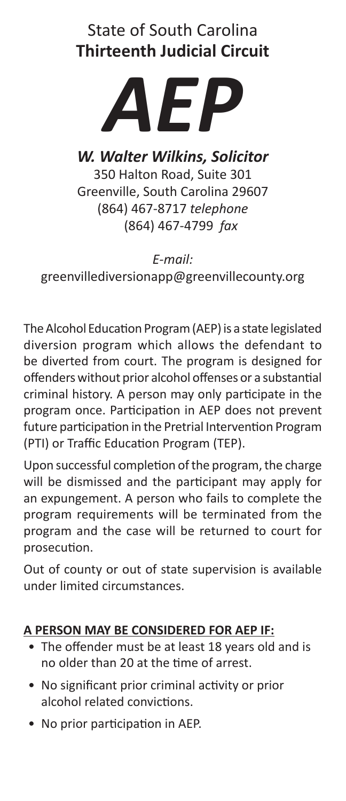# State of South Carolina **Thirteenth Judicial Circuit**



*W. Walter Wilkins, Solicitor* 350 Halton Road, Suite 301

Greenville, South Carolina 29607 (864) 467-8717 *telephone* (864) 467-4799 *fax*

*E-mail:* greenvillediversionapp@greenvillecounty.org

The Alcohol Education Program (AEP) is a state legislated diversion program which allows the defendant to be diverted from court. The program is designed for offenders without prior alcohol offenses or a substantial criminal history. A person may only participate in the program once. Participation in AEP does not prevent future participation in the Pretrial Intervention Program (PTI) or Traffic Education Program (TEP).

Upon successful completion of the program, the charge will be dismissed and the participant may apply for an expungement. A person who fails to complete the program requirements will be terminated from the program and the case will be returned to court for prosecution.

Out of county or out of state supervision is available under limited circumstances.

# **A PERSON MAY BE CONSIDERED FOR AEP IF:**

- The offender must be at least 18 years old and is no older than 20 at the time of arrest.
- No significant prior criminal activity or prior alcohol related convictions.
- No prior participation in AEP.